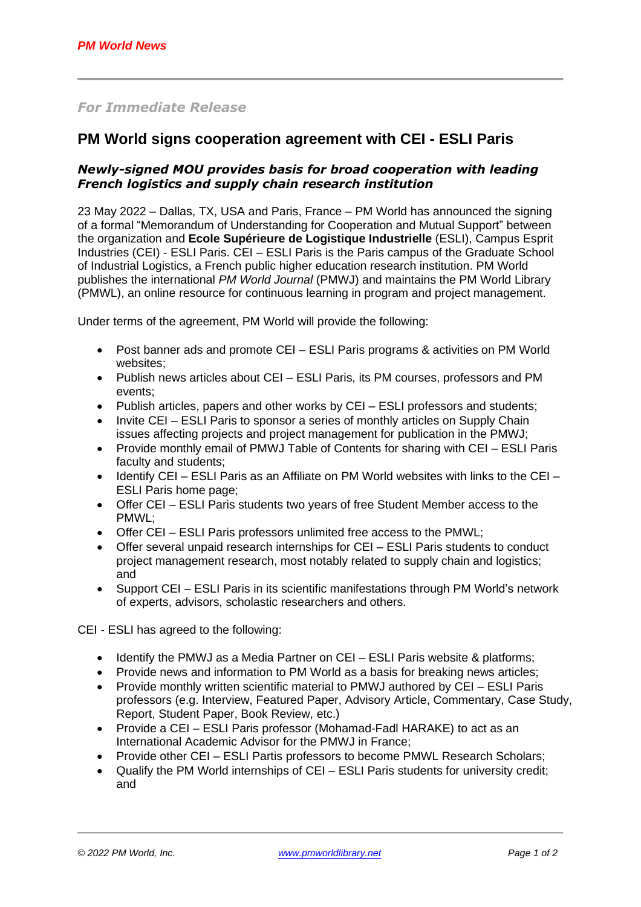# *For Immediate Release*

# **PM World signs cooperation agreement with CEI - ESLI Paris**

## *Newly-signed MOU provides basis for broad cooperation with leading French logistics and supply chain research institution*

23 May 2022 – Dallas, TX, USA and Paris, France – PM World has announced the signing of a formal "Memorandum of Understanding for Cooperation and Mutual Support" between the organization and **Ecole Supérieure de Logistique Industrielle** (ESLI), Campus Esprit Industries (CEI) - ESLI Paris. CEI – ESLI Paris is the Paris campus of the Graduate School of Industrial Logistics, a French public higher education research institution. PM World publishes the international *PM World Journal* (PMWJ) and maintains the PM World Library (PMWL), an online resource for continuous learning in program and project management.

Under terms of the agreement, PM World will provide the following:

- Post banner ads and promote CEI ESLI Paris programs & activities on PM World websites;
- Publish news articles about CEI ESLI Paris, its PM courses, professors and PM events;
- Publish articles, papers and other works by CEI ESLI professors and students;
- Invite CEI ESLI Paris to sponsor a series of monthly articles on Supply Chain issues affecting projects and project management for publication in the PMWJ;
- Provide monthly email of PMWJ Table of Contents for sharing with CEI ESLI Paris faculty and students;
- Identify CEI ESLI Paris as an Affiliate on PM World websites with links to the CEI ESLI Paris home page;
- Offer CEI ESLI Paris students two years of free Student Member access to the PMWL;
- Offer CEI ESLI Paris professors unlimited free access to the PMWL;
- Offer several unpaid research internships for CEI ESLI Paris students to conduct project management research, most notably related to supply chain and logistics; and
- Support CEI ESLI Paris in its scientific manifestations through PM World's network of experts, advisors, scholastic researchers and others.

CEI - ESLI has agreed to the following:

- Identify the PMWJ as a Media Partner on CEI ESLI Paris website & platforms;
- Provide news and information to PM World as a basis for breaking news articles;
- Provide monthly written scientific material to PMWJ authored by CEI ESLI Paris professors (e.g. Interview, Featured Paper, Advisory Article, Commentary, Case Study, Report, Student Paper, Book Review, etc.)
- Provide a CEI ESLI Paris professor (Mohamad-Fadl HARAKE) to act as an International Academic Advisor for the PMWJ in France;
- Provide other CEI ESLI Partis professors to become PMWL Research Scholars;
- Qualify the PM World internships of CEI ESLI Paris students for university credit; and